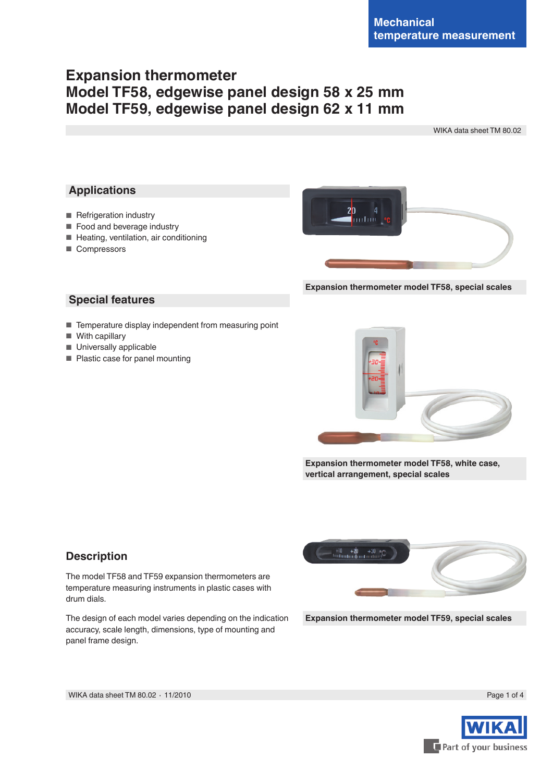# **Expansion thermometer Model TF58, edgewise panel design 58 x 25 mm Model TF59, edgewise panel design 62 x 11 mm**

WIKA data sheet TM 80.02

## **Applications**

- Refrigeration industry
- Food and beverage industry
- Heating, ventilation, air conditioning
- Compressors



**Expansion thermometer model TF58, special scales**

## **Special features**

- Temperature display independent from measuring point
- With capillary
- Universally applicable
- Plastic case for panel mounting



**Expansion thermometer model TF58, white case, vertical arrangement, special scales**

## **Description**

The model TF58 and TF59 expansion thermometers are temperature measuring instruments in plastic cases with drum dials.

The design of each model varies depending on the indication accuracy, scale length, dimensions, type of mounting and panel frame design.



**Expansion thermometer model TF59, special scales**

WIKA data sheet TM 80.02 ⋅ 11/2010 Page 1 of 4



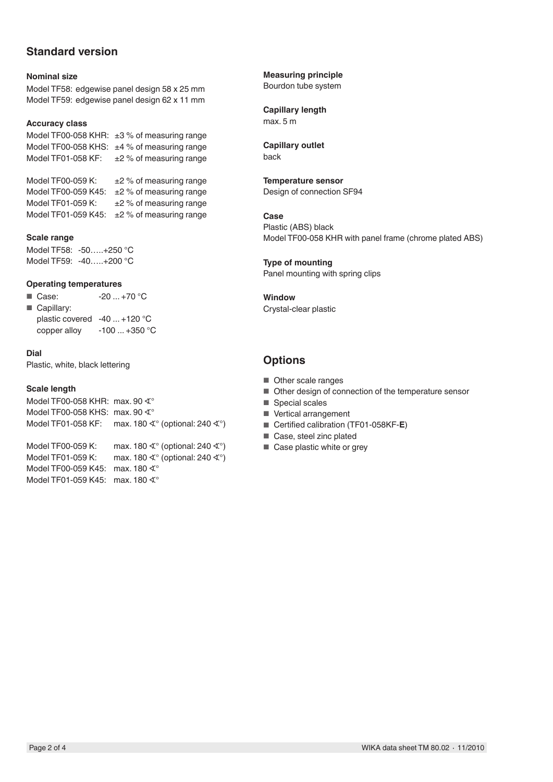## **Standard version**

### **Nominal size**

Model TF58: edgewise panel design 58 x 25 mm Model TF59: edgewise panel design 62 x 11 mm

#### **Accuracy class**

Model TF00-058 KHR: ±3% of measuring range Model TF00-058 KHS: ±4 % of measuring range Model TF01-058 KF:  $\pm 2$  % of measuring range

Model TF00-059 K:  $\pm 2$  % of measuring range Model TF00-059 K45: ±2 % of measuring range Model TF01-059 K:  $\pm 2 \%$  of measuring range Model TF01-059 K45: ±2 % of measuring range

#### **Scale range**

Model TF58: -50…..+250 °C Model TF59: -40…..+200 °C

#### **Operating temperatures**

- $\blacksquare$  Case:  $-20 ... +70 °C$
- Capillary: plastic covered -40 ... +120 °C
	- copper alloy -100 ... +350 °C

#### **Dial**

Plastic, white, black lettering

#### **Scale length**

Model TF00-058 KHR: max. 90 ∢° Model TF00-058 KHS: max. 90 ∢° Model TF01-058 KF: max. 180 ∢° (optional: 240 ∢°)

Model TF00-059 K: max. 180 ∢° (optional: 240 ∢°) Model TF01-059 K: max. 180 ∢° (optional: 240 ∢°) Model TF00-059 K45: max. 180 ∢° Model TF01-059 K45: max. 180 ∢°

**Measuring principle**

Bourdon tube system

## **Capillary length**

max. 5 m

#### **Capillary outlet** back

## **Temperature sensor**

Design of connection SF94

**Case** Plastic (ABS) black Model TF00-058 KHR with panel frame (chrome plated ABS)

**Type of mounting** Panel mounting with spring clips

**Window** Crystal-clear plastic

## **Options**

- Other scale ranges
- Other design of connection of the temperature sensor
- Special scales
- Vertical arrangement
- Certified calibration (TF01-058KF-**E**)
- Case, steel zinc plated
- Case plastic white or grey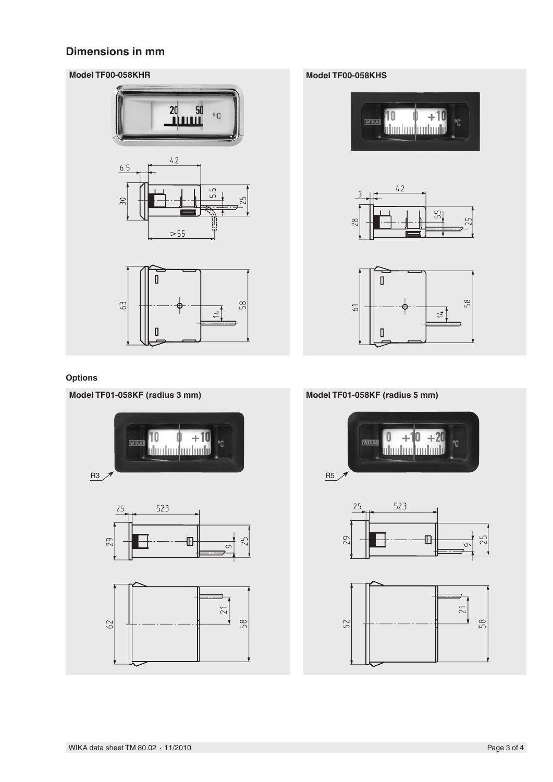## **Dimensions in mm**

## **Model TF00-058KHR Model TF00-058KHS**





## **Options**